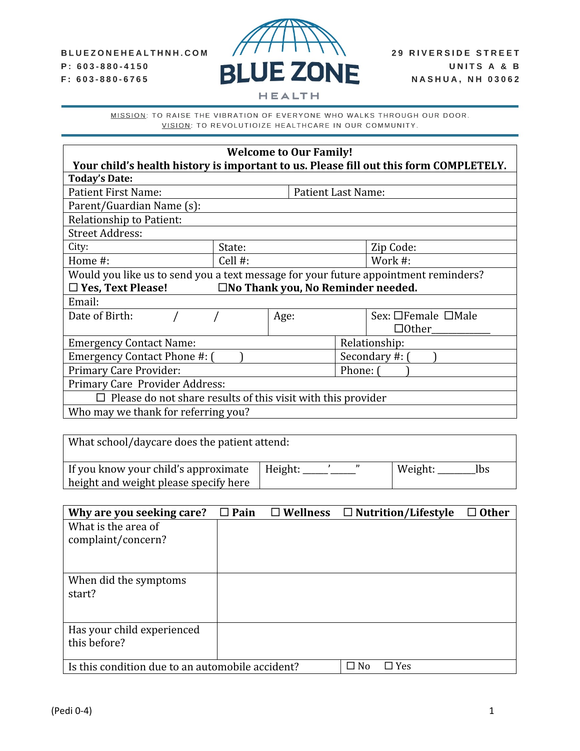

| <b>Welcome to Our Family!</b>                                                       |            |                                             |              |                                                                                       |  |
|-------------------------------------------------------------------------------------|------------|---------------------------------------------|--------------|---------------------------------------------------------------------------------------|--|
|                                                                                     |            |                                             |              | Your child's health history is important to us. Please fill out this form COMPLETELY. |  |
| <b>Today's Date:</b>                                                                |            |                                             |              |                                                                                       |  |
| <b>Patient First Name:</b>                                                          |            | <b>Patient Last Name:</b>                   |              |                                                                                       |  |
| Parent/Guardian Name (s):                                                           |            |                                             |              |                                                                                       |  |
| <b>Relationship to Patient:</b>                                                     |            |                                             |              |                                                                                       |  |
| <b>Street Address:</b>                                                              |            |                                             |              |                                                                                       |  |
| City:                                                                               | State:     |                                             |              | Zip Code:                                                                             |  |
| Home #:                                                                             | Cell $#$ : |                                             |              | Work #:                                                                               |  |
| Would you like us to send you a text message for your future appointment reminders? |            |                                             |              |                                                                                       |  |
| $\Box$ Yes, Text Please!                                                            |            | $\square$ No Thank you, No Reminder needed. |              |                                                                                       |  |
| Email:                                                                              |            |                                             |              |                                                                                       |  |
| Date of Birth:                                                                      |            | Age:                                        |              | Sex: □Female □Male                                                                    |  |
|                                                                                     |            |                                             | $\Box$ Other |                                                                                       |  |
| <b>Emergency Contact Name:</b>                                                      |            | Relationship:                               |              |                                                                                       |  |
| Emergency Contact Phone #: (                                                        |            | Secondary #: (                              |              |                                                                                       |  |
| <b>Primary Care Provider:</b>                                                       |            | Phone: (                                    |              |                                                                                       |  |
| Primary Care Provider Address:                                                      |            |                                             |              |                                                                                       |  |
| $\Box$ Please do not share results of this visit with this provider                 |            |                                             |              |                                                                                       |  |
| Who may we thank for referring you?                                                 |            |                                             |              |                                                                                       |  |

| What school/daycare does the patient attend:                                  |         |                |  |  |
|-------------------------------------------------------------------------------|---------|----------------|--|--|
| If you know your child's approximate<br>height and weight please specify here | Height: | Weight:<br>Ibs |  |  |

| Why are you seeking care?                        | $\Box$ Pain | $\square$ Wellness |      | $\Box$ Nutrition/Lifestyle | $\Box$ Other |
|--------------------------------------------------|-------------|--------------------|------|----------------------------|--------------|
| What is the area of                              |             |                    |      |                            |              |
| complaint/concern?                               |             |                    |      |                            |              |
|                                                  |             |                    |      |                            |              |
|                                                  |             |                    |      |                            |              |
| When did the symptoms                            |             |                    |      |                            |              |
| start?                                           |             |                    |      |                            |              |
|                                                  |             |                    |      |                            |              |
|                                                  |             |                    |      |                            |              |
| Has your child experienced                       |             |                    |      |                            |              |
| this before?                                     |             |                    |      |                            |              |
|                                                  |             |                    |      |                            |              |
| Is this condition due to an automobile accident? |             |                    | □ No | $\Box$ Yes                 |              |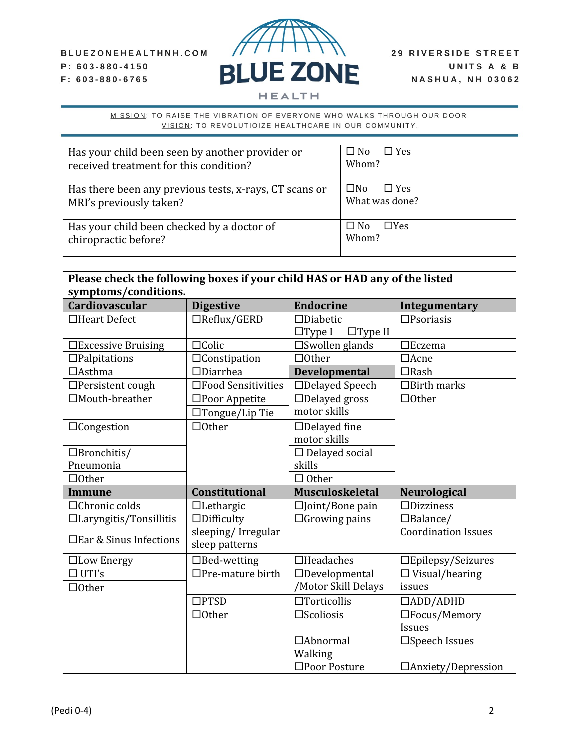### BLUEZONEHEALTHNH.COM P: 603-880-4150 F: 603-880-6765



| Has your child been seen by another provider or<br>received treatment for this condition? | $\square$ No<br>$\Box$ Yes<br>Whom? |
|-------------------------------------------------------------------------------------------|-------------------------------------|
| Has there been any previous tests, x-rays, CT scans or<br>MRI's previously taken?         | ⊟No<br>$\Box$ Yes<br>What was done? |
| Has your child been checked by a doctor of<br>chiropractic before?                        | $\Box$ Yes<br>□ No<br>Whom?         |

| Please check the following boxes if your child HAS or HAD any of the listed<br>symptoms/conditions. |                                      |                                                    |                            |  |
|-----------------------------------------------------------------------------------------------------|--------------------------------------|----------------------------------------------------|----------------------------|--|
| <b>Cardiovascular</b>                                                                               | <b>Digestive</b>                     | <b>Endocrine</b>                                   | Integumentary              |  |
| $\Box$ Heart Defect                                                                                 | $\Box$ Reflux/GERD                   | $\Box$ Diabetic<br>$\Box$ Type I<br>$\Box$ Type II | $\square$ Psoriasis        |  |
| □Excessive Bruising                                                                                 | $\Box$ Colic                         | $\square$ Swollen glands                           | $\Box$ Eczema              |  |
| $\Box$ Palpitations                                                                                 | $\Box$ Constipation                  | $\Box$ Other                                       | $\Box$ Acne                |  |
| $\Box$ Asthma                                                                                       | $\Box$ Diarrhea                      | <b>Developmental</b>                               | $\Box$ Rash                |  |
| $\Box$ Persistent cough                                                                             | □Food Sensitivities                  | □Delayed Speech                                    | $\Box$ Birth marks         |  |
| □Mouth-breather                                                                                     | □Poor Appetite                       | $\Box$ Delayed gross                               | $\Box$ Other               |  |
|                                                                                                     | $\Box$ Tongue/Lip Tie                | motor skills                                       |                            |  |
| $\Box$ Congestion                                                                                   | $\Box$ Other                         | $\Box$ Delayed fine                                |                            |  |
|                                                                                                     |                                      | motor skills                                       |                            |  |
| $\Box$ Bronchitis/                                                                                  |                                      | $\Box$ Delayed social                              |                            |  |
| Pneumonia                                                                                           |                                      | skills                                             |                            |  |
| $\Box$ Other                                                                                        |                                      | $\Box$ Other                                       |                            |  |
| <b>Immune</b>                                                                                       | <b>Constitutional</b>                | <b>Musculoskeletal</b>                             | <b>Neurological</b>        |  |
| □Chronic colds                                                                                      | $\Box$ Lethargic                     | $\square$ Joint/Bone pain                          | $\Box$ Dizziness           |  |
| $\Box$ Laryngitis/Tonsillitis                                                                       | $\Box$ Difficulty                    | $\Box$ Growing pains                               | $\Box$ Balance/            |  |
| □ Ear & Sinus Infections                                                                            | sleeping/Irregular<br>sleep patterns |                                                    | <b>Coordination Issues</b> |  |
| □Low Energy                                                                                         | $\Box$ Bed-wetting                   | $\Box$ Headaches                                   | □Epilepsy/Seizures         |  |
| $\Box$ UTI's                                                                                        | $\Box$ Pre-mature birth              | $\Box$ Developmental                               | $\Box$ Visual/hearing      |  |
| $\Box$ Other                                                                                        |                                      | /Motor Skill Delays                                | issues                     |  |
|                                                                                                     | $\square$ PTSD                       | $\Box$ Torticollis                                 | $\Box$ ADD/ADHD            |  |
|                                                                                                     | $\Box$ Other                         | $\square$ Scoliosis                                | $\Box$ Focus/Memory        |  |
|                                                                                                     |                                      |                                                    |                            |  |
|                                                                                                     |                                      |                                                    | <b>Issues</b>              |  |
|                                                                                                     |                                      | $\Box$ Abnormal                                    | □Speech Issues             |  |
|                                                                                                     |                                      | Walking<br>□Poor Posture                           |                            |  |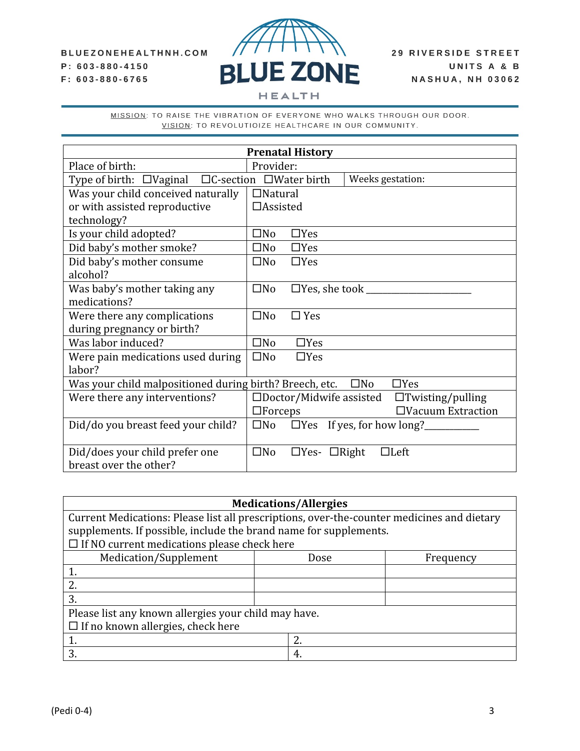### BLUEZONEHEALTHNH.COM P: 603-880-4150 F: 603-880-6765



**HEALTH** 

| <b>Prenatal History</b>                                              |                                                              |  |  |  |
|----------------------------------------------------------------------|--------------------------------------------------------------|--|--|--|
| Place of birth:                                                      | Provider:                                                    |  |  |  |
| Type of birth: □Vaginal □C-section □Water birth                      | Weeks gestation:                                             |  |  |  |
| Was your child conceived naturally                                   | $\Box$ Natural                                               |  |  |  |
| or with assisted reproductive                                        | $\Box$ Assisted                                              |  |  |  |
| technology?                                                          |                                                              |  |  |  |
| Is your child adopted?                                               | $\square$ No<br>$\Box$ Yes                                   |  |  |  |
| Did baby's mother smoke?                                             | $\square$ No<br>$\Box$ Yes                                   |  |  |  |
| Did baby's mother consume                                            | $\square$ No<br>$\Box$ Yes                                   |  |  |  |
| alcohol?                                                             |                                                              |  |  |  |
| Was baby's mother taking any                                         | $\square$ No                                                 |  |  |  |
| medications?                                                         |                                                              |  |  |  |
| Were there any complications                                         | $\square$ No<br>$\Box$ Yes                                   |  |  |  |
| during pregnancy or birth?                                           |                                                              |  |  |  |
| Was labor induced?                                                   | $\square$ No<br>$\Box$ Yes                                   |  |  |  |
| Were pain medications used during                                    | $\square$ No<br>$\Box$ Yes                                   |  |  |  |
| labor?                                                               |                                                              |  |  |  |
| Was your child malpositioned during birth? Breech, etc. $\square$ No | $\Box$ Yes                                                   |  |  |  |
| Were there any interventions?                                        | $\square$ Doctor/Midwife assisted<br>$\Box$ Twisting/pulling |  |  |  |
|                                                                      | $\Box$ Vacuum Extraction<br>$\Box$ Forceps                   |  |  |  |
| Did/do you breast feed your child?                                   |                                                              |  |  |  |
|                                                                      |                                                              |  |  |  |
| Did/does your child prefer one                                       | $\square$ No<br>$\Box$ Yes- $\Box$ Right<br>$\Box$ Left      |  |  |  |
| breast over the other?                                               |                                                              |  |  |  |

| <b>Medications/Allergies</b>                                                               |  |      |           |
|--------------------------------------------------------------------------------------------|--|------|-----------|
| Current Medications: Please list all prescriptions, over-the-counter medicines and dietary |  |      |           |
| supplements. If possible, include the brand name for supplements.                          |  |      |           |
| $\Box$ If NO current medications please check here                                         |  |      |           |
| Medication/Supplement                                                                      |  | Dose | Frequency |
|                                                                                            |  |      |           |
| 2.                                                                                         |  |      |           |
| 3.                                                                                         |  |      |           |
| Please list any known allergies your child may have.                                       |  |      |           |
| $\Box$ If no known allergies, check here                                                   |  |      |           |
|                                                                                            |  | 2.   |           |
| 3.                                                                                         |  | 4.   |           |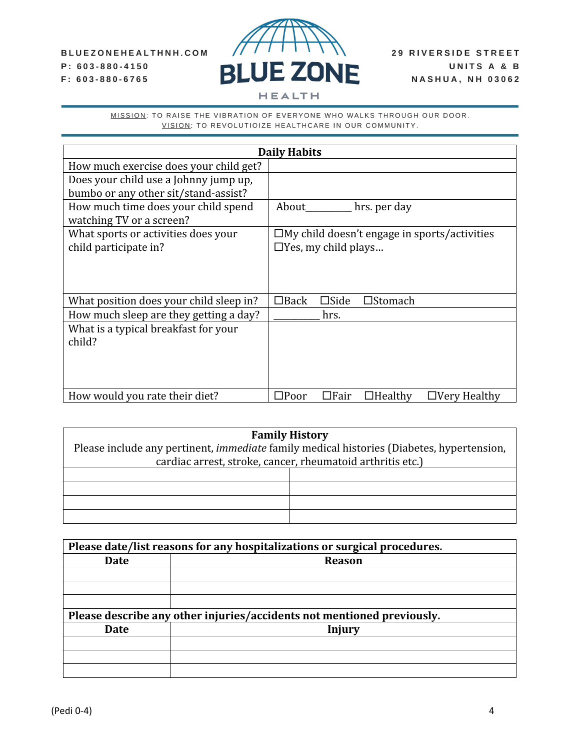### BLUEZONEHEALTHNH.COM P: 603-880-4150 F: 603-880-6765



MISSION: TO RAISE THE VIBRATION OF EVERYONE WHO WALKS THROUGH OUR DOOR.

VISION: TO REVOLUTIOIZE HEALTHCARE IN OUR COMMUNITY.

|                                                                 | <b>Daily Habits</b>                                                    |  |  |
|-----------------------------------------------------------------|------------------------------------------------------------------------|--|--|
| How much exercise does your child get?                          |                                                                        |  |  |
| Does your child use a Johnny jump up,                           |                                                                        |  |  |
| bumbo or any other sit/stand-assist?                            |                                                                        |  |  |
| How much time does your child spend<br>watching TV or a screen? | About<br>hrs. per day                                                  |  |  |
| What sports or activities does your                             | $\square$ My child doesn't engage in sports/activities                 |  |  |
| child participate in?                                           | $\Box$ Yes, my child plays                                             |  |  |
|                                                                 |                                                                        |  |  |
| What position does your child sleep in?                         | $\Box$ Back<br>$\square$ Side<br>$\square$ Stomach                     |  |  |
| How much sleep are they getting a day?                          | hrs.                                                                   |  |  |
| What is a typical breakfast for your                            |                                                                        |  |  |
| child?                                                          |                                                                        |  |  |
|                                                                 |                                                                        |  |  |
|                                                                 |                                                                        |  |  |
| How would you rate their diet?                                  | $\square$ Poor<br>$\Box$ Fair<br>$\Box$ Healthy<br>$\Box$ Very Healthy |  |  |

| <b>Family History</b>                                                                            |  |  |  |
|--------------------------------------------------------------------------------------------------|--|--|--|
| Please include any pertinent, <i>immediate</i> family medical histories (Diabetes, hypertension, |  |  |  |
| cardiac arrest, stroke, cancer, rheumatoid arthritis etc.)                                       |  |  |  |
|                                                                                                  |  |  |  |
|                                                                                                  |  |  |  |
|                                                                                                  |  |  |  |
|                                                                                                  |  |  |  |
|                                                                                                  |  |  |  |

| Please date/list reasons for any hospitalizations or surgical procedures. |                                                                        |  |
|---------------------------------------------------------------------------|------------------------------------------------------------------------|--|
| <b>Date</b>                                                               | <b>Reason</b>                                                          |  |
|                                                                           |                                                                        |  |
|                                                                           |                                                                        |  |
|                                                                           |                                                                        |  |
|                                                                           | Please describe any other injuries/accidents not mentioned previously. |  |
| <b>Date</b>                                                               | Injury                                                                 |  |
|                                                                           |                                                                        |  |
|                                                                           |                                                                        |  |
|                                                                           |                                                                        |  |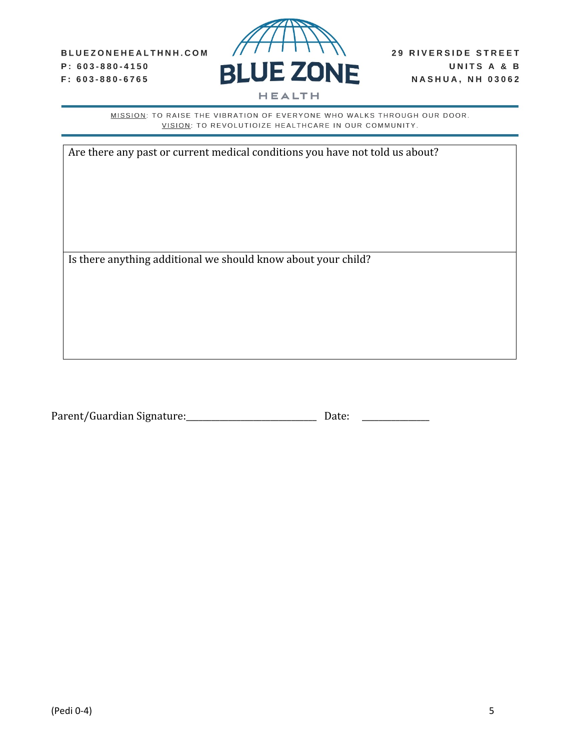

| Are there any past or current medical conditions you have not told us about? |
|------------------------------------------------------------------------------|
|                                                                              |
|                                                                              |
|                                                                              |
|                                                                              |
|                                                                              |
| Is there anything additional we should know about your child?                |
|                                                                              |
|                                                                              |
|                                                                              |
|                                                                              |

| Parent/Guardian Signature: | Date: |  |
|----------------------------|-------|--|
|----------------------------|-------|--|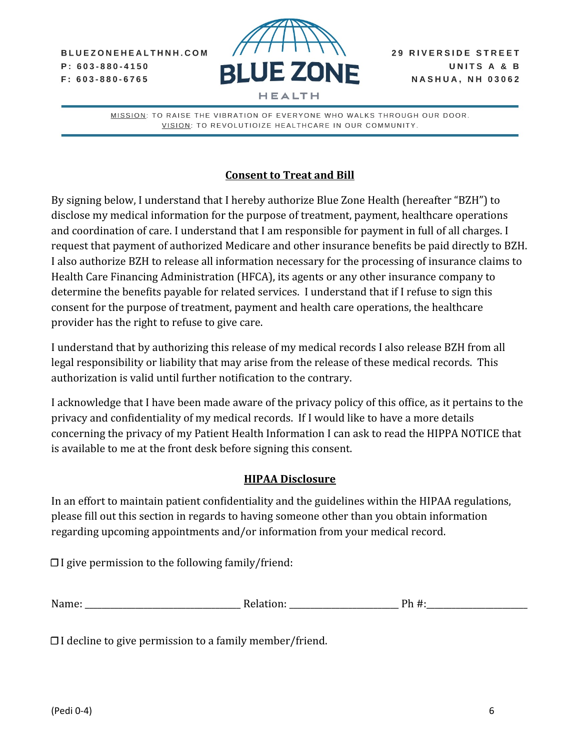BLUEZONEHEALTHNH.COM  $P: 603 - 880 - 4150$  $F: 603 - 880 - 6765$ 



MISSION: TO RAISE THE VIBRATION OF EVERYONE WHO WALKS THROUGH OUR DOOR. VISION: TO REVOLUTIOIZE HEALTHCARE IN OUR COMMUNITY.

# **Consent to Treat and Bill**

By signing below, I understand that I hereby authorize Blue Zone Health (hereafter "BZH") to disclose my medical information for the purpose of treatment, payment, healthcare operations and coordination of care. I understand that I am responsible for payment in full of all charges. I request that payment of authorized Medicare and other insurance benefits be paid directly to BZH. I also authorize BZH to release all information necessary for the processing of insurance claims to Health Care Financing Administration (HFCA), its agents or any other insurance company to determine the benefits payable for related services. I understand that if I refuse to sign this consent for the purpose of treatment, payment and health care operations, the healthcare provider has the right to refuse to give care.

I understand that by authorizing this release of my medical records I also release BZH from all legal responsibility or liability that may arise from the release of these medical records. This authorization is valid until further notification to the contrary.

I acknowledge that I have been made aware of the privacy policy of this office, as it pertains to the privacy and confidentiality of my medical records. If I would like to have a more details concerning the privacy of my Patient Health Information I can ask to read the HIPPA NOTICE that is available to me at the front desk before signing this consent.

## **HIPAA Disclosure**

In an effort to maintain patient confidentiality and the guidelines within the HIPAA regulations, please fill out this section in regards to having someone other than you obtain information regarding upcoming appointments and/or information from your medical record.

☐ I give permission to the following family/friend:

| . | Name: | - ה<br>ייי<br>'uun | ገጌ |
|---|-------|--------------------|----|
|---|-------|--------------------|----|

☐ I decline to give permission to a family member/friend.